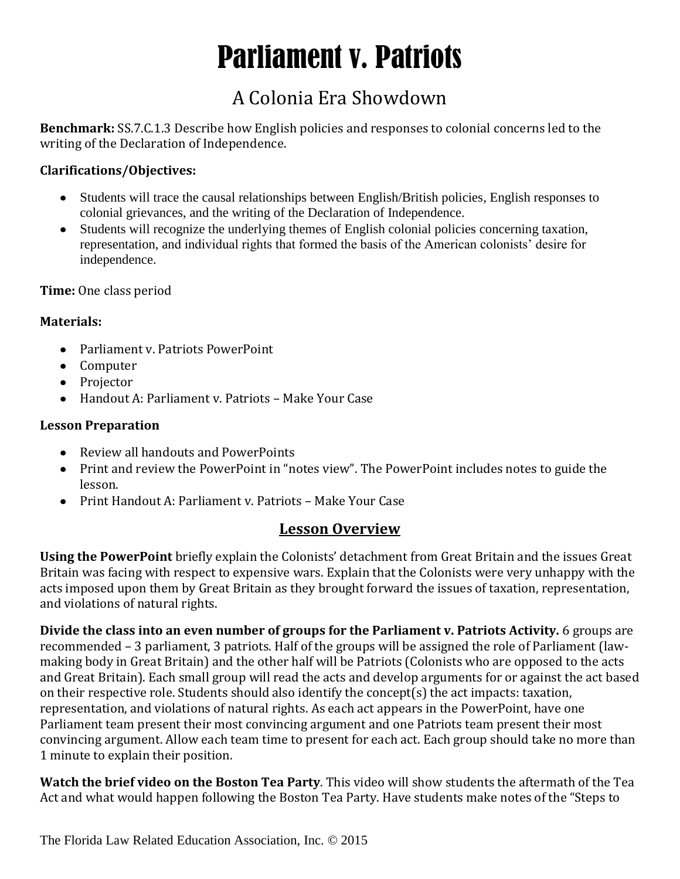# Parliament v. Patriots

# A Colonia Era Showdown

**Benchmark:** SS.7.C.1.3 Describe how English policies and responses to colonial concerns led to the writing of the Declaration of Independence.

#### **Clarifications/Objectives:**

- Students will trace the causal relationships between English/British policies, English responses to  $\bullet$ colonial grievances, and the writing of the Declaration of Independence.
- Students will recognize the underlying themes of English colonial policies concerning taxation, representation, and individual rights that formed the basis of the American colonists' desire for independence.

**Time:** One class period

#### **Materials:**

- Parliament v. Patriots PowerPoint
- Computer
- Projector
- Handout A: Parliament v. Patriots Make Your Case

#### **Lesson Preparation**

- Review all handouts and PowerPoints
- Print and review the PowerPoint in "notes view". The PowerPoint includes notes to guide the lesson.
- Print Handout A: Parliament v. Patriots Make Your Case

### **Lesson Overview**

**Using the PowerPoint** briefly explain the Colonists' detachment from Great Britain and the issues Great Britain was facing with respect to expensive wars. Explain that the Colonists were very unhappy with the acts imposed upon them by Great Britain as they brought forward the issues of taxation, representation, and violations of natural rights.

**Divide the class into an even number of groups for the Parliament v. Patriots Activity.** 6 groups are recommended – 3 parliament, 3 patriots. Half of the groups will be assigned the role of Parliament (lawmaking body in Great Britain) and the other half will be Patriots (Colonists who are opposed to the acts and Great Britain). Each small group will read the acts and develop arguments for or against the act based on their respective role. Students should also identify the concept(s) the act impacts: taxation, representation, and violations of natural rights. As each act appears in the PowerPoint, have one Parliament team present their most convincing argument and one Patriots team present their most convincing argument. Allow each team time to present for each act. Each group should take no more than 1 minute to explain their position.

**Watch the brief video on the Boston Tea Party**. This video will show students the aftermath of the Tea Act and what would happen following the Boston Tea Party. Have students make notes of the "Steps to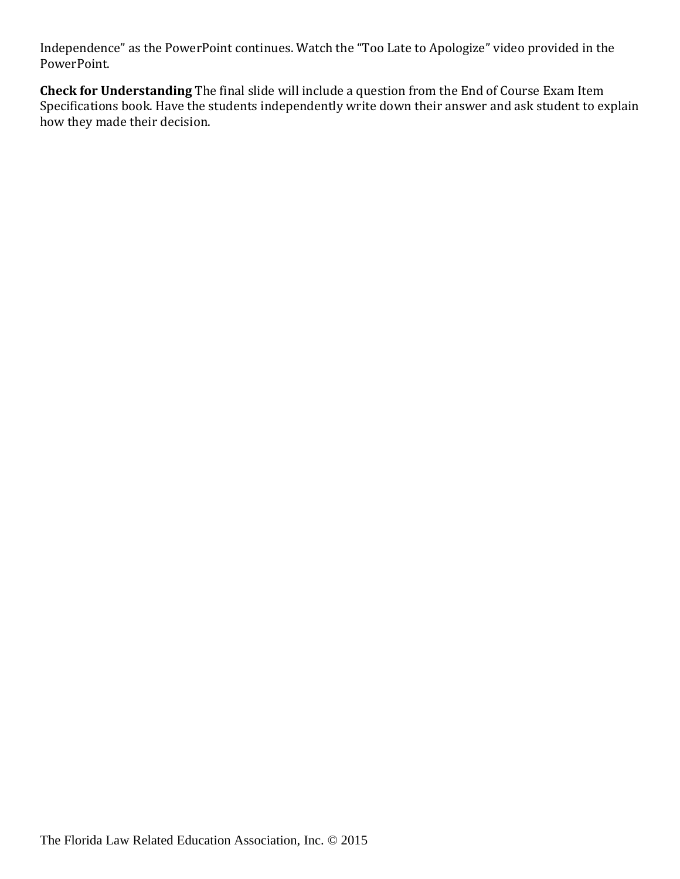Independence" as the PowerPoint continues. Watch the "Too Late to Apologize" video provided in the PowerPoint.

**Check for Understanding** The final slide will include a question from the End of Course Exam Item Specifications book. Have the students independently write down their answer and ask student to explain how they made their decision.